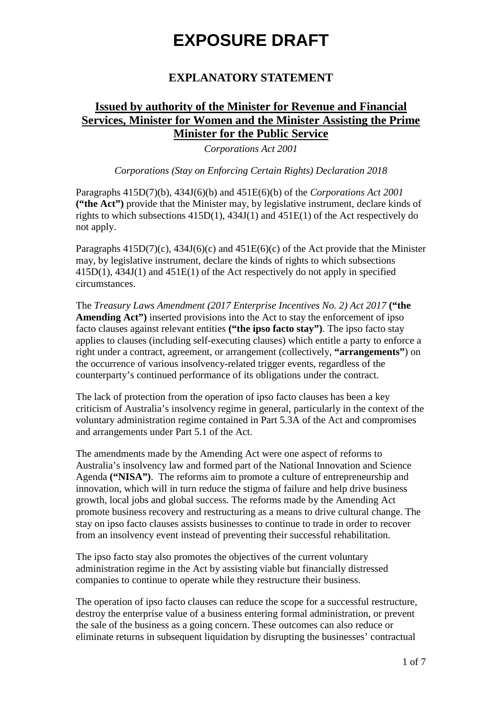### **EXPLANATORY STATEMENT**

## **Issued by authority of the Minister for Revenue and Financial Services, Minister for Women and the Minister Assisting the Prime Minister for the Public Service**

*Corporations Act 2001* 

*Corporations (Stay on Enforcing Certain Rights) Declaration 2018*

Paragraphs 415D(7)(b), 434J(6)(b) and 451E(6)(b) of the *Corporations Act 2001* **("the Act")** provide that the Minister may, by legislative instrument, declare kinds of rights to which subsections 415D(1), 434J(1) and 451E(1) of the Act respectively do not apply.

Paragraphs  $415D(7)(c)$ ,  $434J(6)(c)$  and  $451E(6)(c)$  of the Act provide that the Minister may, by legislative instrument, declare the kinds of rights to which subsections 415D(1), 434J(1) and 451E(1) of the Act respectively do not apply in specified circumstances.

The *Treasury Laws Amendment (2017 Enterprise Incentives No. 2) Act 2017* **("the Amending Act")** inserted provisions into the Act to stay the enforcement of ipso facto clauses against relevant entities **("the ipso facto stay")**. The ipso facto stay applies to clauses (including self-executing clauses) which entitle a party to enforce a right under a contract, agreement, or arrangement (collectively, **"arrangements"**) on the occurrence of various insolvency-related trigger events, regardless of the counterparty's continued performance of its obligations under the contract.

The lack of protection from the operation of ipso facto clauses has been a key criticism of Australia's insolvency regime in general, particularly in the context of the voluntary administration regime contained in Part 5.3A of the Act and compromises and arrangements under Part 5.1 of the Act.

The amendments made by the Amending Act were one aspect of reforms to Australia's insolvency law and formed part of the National Innovation and Science Agenda **("NISA")**. The reforms aim to promote a culture of entrepreneurship and innovation, which will in turn reduce the stigma of failure and help drive business growth, local jobs and global success. The reforms made by the Amending Act promote business recovery and restructuring as a means to drive cultural change. The stay on ipso facto clauses assists businesses to continue to trade in order to recover from an insolvency event instead of preventing their successful rehabilitation.

The ipso facto stay also promotes the objectives of the current voluntary administration regime in the Act by assisting viable but financially distressed companies to continue to operate while they restructure their business.

The operation of ipso facto clauses can reduce the scope for a successful restructure, destroy the enterprise value of a business entering formal administration, or prevent the sale of the business as a going concern. These outcomes can also reduce or eliminate returns in subsequent liquidation by disrupting the businesses' contractual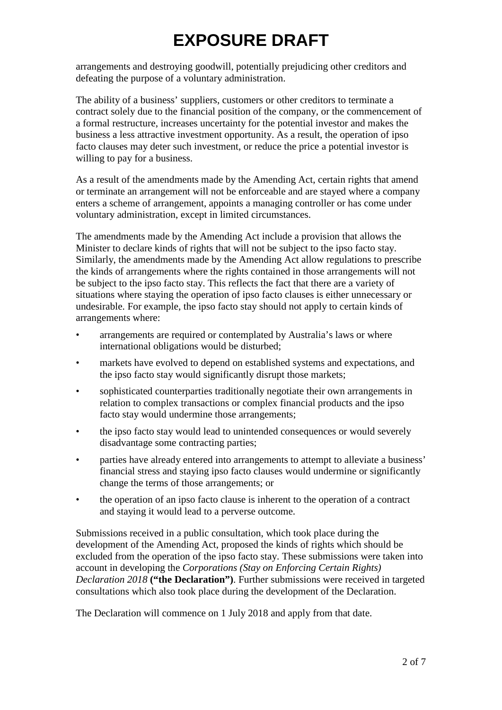arrangements and destroying goodwill, potentially prejudicing other creditors and defeating the purpose of a voluntary administration.

The ability of a business' suppliers, customers or other creditors to terminate a contract solely due to the financial position of the company, or the commencement of a formal restructure, increases uncertainty for the potential investor and makes the business a less attractive investment opportunity. As a result, the operation of ipso facto clauses may deter such investment, or reduce the price a potential investor is willing to pay for a business.

As a result of the amendments made by the Amending Act, certain rights that amend or terminate an arrangement will not be enforceable and are stayed where a company enters a scheme of arrangement, appoints a managing controller or has come under voluntary administration, except in limited circumstances.

The amendments made by the Amending Act include a provision that allows the Minister to declare kinds of rights that will not be subject to the ipso facto stay. Similarly, the amendments made by the Amending Act allow regulations to prescribe the kinds of arrangements where the rights contained in those arrangements will not be subject to the ipso facto stay. This reflects the fact that there are a variety of situations where staying the operation of ipso facto clauses is either unnecessary or undesirable. For example, the ipso facto stay should not apply to certain kinds of arrangements where:

- arrangements are required or contemplated by Australia's laws or where international obligations would be disturbed;
- markets have evolved to depend on established systems and expectations, and the ipso facto stay would significantly disrupt those markets;
- sophisticated counterparties traditionally negotiate their own arrangements in relation to complex transactions or complex financial products and the ipso facto stay would undermine those arrangements;
- the ipso facto stay would lead to unintended consequences or would severely disadvantage some contracting parties;
- parties have already entered into arrangements to attempt to alleviate a business' financial stress and staying ipso facto clauses would undermine or significantly change the terms of those arrangements; or
- the operation of an ipso facto clause is inherent to the operation of a contract and staying it would lead to a perverse outcome.

Submissions received in a public consultation, which took place during the development of the Amending Act, proposed the kinds of rights which should be excluded from the operation of the ipso facto stay. These submissions were taken into account in developing the *Corporations (Stay on Enforcing Certain Rights) Declaration 2018* **("the Declaration")**. Further submissions were received in targeted consultations which also took place during the development of the Declaration.

The Declaration will commence on 1 July 2018 and apply from that date.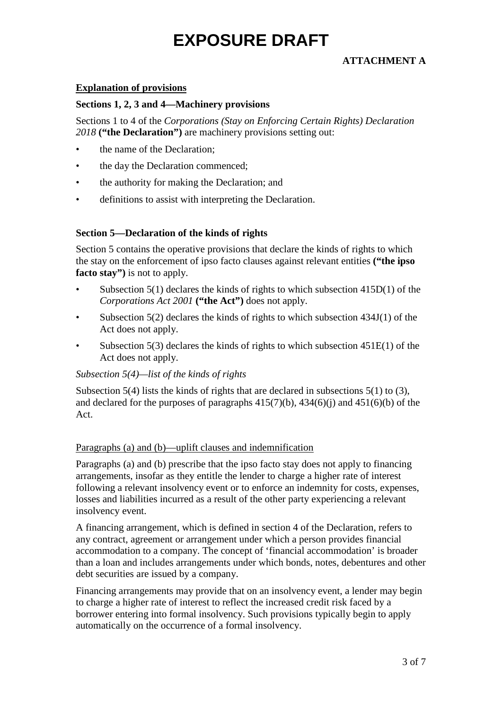### **ATTACHMENT A**

#### **Explanation of provisions**

#### **Sections 1, 2, 3 and 4—Machinery provisions**

Sections 1 to 4 of the *Corporations (Stay on Enforcing Certain Rights) Declaration 2018* **("the Declaration")** are machinery provisions setting out:

- the name of the Declaration:
- the day the Declaration commenced;
- the authority for making the Declaration; and
- definitions to assist with interpreting the Declaration.

#### **Section 5—Declaration of the kinds of rights**

Section 5 contains the operative provisions that declare the kinds of rights to which the stay on the enforcement of ipso facto clauses against relevant entities **("the ipso facto stay")** is not to apply.

- Subsection  $5(1)$  declares the kinds of rights to which subsection  $415D(1)$  of the *Corporations Act 2001* **("the Act")** does not apply.
- Subsection 5(2) declares the kinds of rights to which subsection 434J(1) of the Act does not apply.
- Subsection  $5(3)$  declares the kinds of rights to which subsection  $451E(1)$  of the Act does not apply.

#### *Subsection 5(4)—list of the kinds of rights*

Subsection 5(4) lists the kinds of rights that are declared in subsections 5(1) to (3), and declared for the purposes of paragraphs  $415(7)(b)$ ,  $434(6)(i)$  and  $451(6)(b)$  of the Act.

#### Paragraphs (a) and (b)—uplift clauses and indemnification

Paragraphs (a) and (b) prescribe that the ipso facto stay does not apply to financing arrangements, insofar as they entitle the lender to charge a higher rate of interest following a relevant insolvency event or to enforce an indemnity for costs, expenses, losses and liabilities incurred as a result of the other party experiencing a relevant insolvency event.

A financing arrangement, which is defined in section 4 of the Declaration, refers to any contract, agreement or arrangement under which a person provides financial accommodation to a company. The concept of 'financial accommodation' is broader than a loan and includes arrangements under which bonds, notes, debentures and other debt securities are issued by a company.

Financing arrangements may provide that on an insolvency event, a lender may begin to charge a higher rate of interest to reflect the increased credit risk faced by a borrower entering into formal insolvency. Such provisions typically begin to apply automatically on the occurrence of a formal insolvency.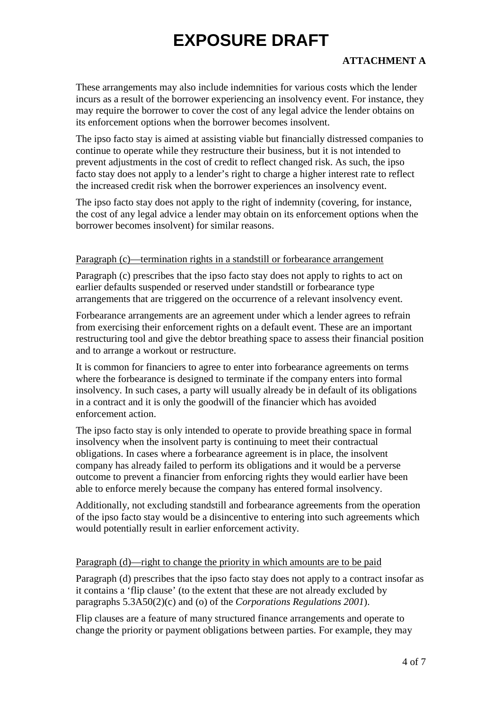### **ATTACHMENT A**

These arrangements may also include indemnities for various costs which the lender incurs as a result of the borrower experiencing an insolvency event. For instance, they may require the borrower to cover the cost of any legal advice the lender obtains on its enforcement options when the borrower becomes insolvent.

The ipso facto stay is aimed at assisting viable but financially distressed companies to continue to operate while they restructure their business, but it is not intended to prevent adjustments in the cost of credit to reflect changed risk. As such, the ipso facto stay does not apply to a lender's right to charge a higher interest rate to reflect the increased credit risk when the borrower experiences an insolvency event.

The ipso facto stay does not apply to the right of indemnity (covering, for instance, the cost of any legal advice a lender may obtain on its enforcement options when the borrower becomes insolvent) for similar reasons.

#### Paragraph (c)—termination rights in a standstill or forbearance arrangement

Paragraph (c) prescribes that the ipso facto stay does not apply to rights to act on earlier defaults suspended or reserved under standstill or forbearance type arrangements that are triggered on the occurrence of a relevant insolvency event.

Forbearance arrangements are an agreement under which a lender agrees to refrain from exercising their enforcement rights on a default event. These are an important restructuring tool and give the debtor breathing space to assess their financial position and to arrange a workout or restructure.

It is common for financiers to agree to enter into forbearance agreements on terms where the forbearance is designed to terminate if the company enters into formal insolvency. In such cases, a party will usually already be in default of its obligations in a contract and it is only the goodwill of the financier which has avoided enforcement action.

The ipso facto stay is only intended to operate to provide breathing space in formal insolvency when the insolvent party is continuing to meet their contractual obligations. In cases where a forbearance agreement is in place, the insolvent company has already failed to perform its obligations and it would be a perverse outcome to prevent a financier from enforcing rights they would earlier have been able to enforce merely because the company has entered formal insolvency.

Additionally, not excluding standstill and forbearance agreements from the operation of the ipso facto stay would be a disincentive to entering into such agreements which would potentially result in earlier enforcement activity.

#### Paragraph (d)—right to change the priority in which amounts are to be paid

Paragraph (d) prescribes that the ipso facto stay does not apply to a contract insofar as it contains a 'flip clause' (to the extent that these are not already excluded by paragraphs 5.3A50(2)(c) and (o) of the *Corporations Regulations 2001*).

Flip clauses are a feature of many structured finance arrangements and operate to change the priority or payment obligations between parties. For example, they may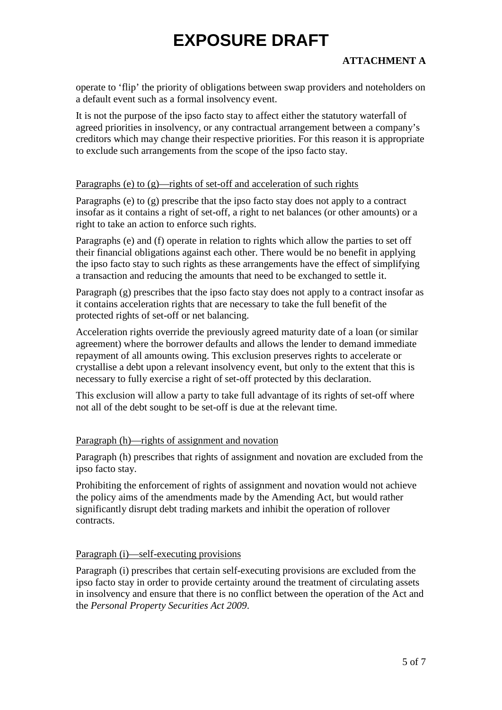### **ATTACHMENT A**

operate to 'flip' the priority of obligations between swap providers and noteholders on a default event such as a formal insolvency event.

It is not the purpose of the ipso facto stay to affect either the statutory waterfall of agreed priorities in insolvency, or any contractual arrangement between a company's creditors which may change their respective priorities. For this reason it is appropriate to exclude such arrangements from the scope of the ipso facto stay.

#### Paragraphs (e) to (g)—rights of set-off and acceleration of such rights

Paragraphs (e) to (g) prescribe that the ipso facto stay does not apply to a contract insofar as it contains a right of set-off, a right to net balances (or other amounts) or a right to take an action to enforce such rights.

Paragraphs (e) and (f) operate in relation to rights which allow the parties to set off their financial obligations against each other. There would be no benefit in applying the ipso facto stay to such rights as these arrangements have the effect of simplifying a transaction and reducing the amounts that need to be exchanged to settle it.

Paragraph (g) prescribes that the ipso facto stay does not apply to a contract insofar as it contains acceleration rights that are necessary to take the full benefit of the protected rights of set-off or net balancing.

Acceleration rights override the previously agreed maturity date of a loan (or similar agreement) where the borrower defaults and allows the lender to demand immediate repayment of all amounts owing. This exclusion preserves rights to accelerate or crystallise a debt upon a relevant insolvency event, but only to the extent that this is necessary to fully exercise a right of set-off protected by this declaration.

This exclusion will allow a party to take full advantage of its rights of set-off where not all of the debt sought to be set-off is due at the relevant time.

### Paragraph (h)—rights of assignment and novation

Paragraph (h) prescribes that rights of assignment and novation are excluded from the ipso facto stay.

Prohibiting the enforcement of rights of assignment and novation would not achieve the policy aims of the amendments made by the Amending Act, but would rather significantly disrupt debt trading markets and inhibit the operation of rollover contracts.

#### Paragraph (i)—self-executing provisions

Paragraph (i) prescribes that certain self-executing provisions are excluded from the ipso facto stay in order to provide certainty around the treatment of circulating assets in insolvency and ensure that there is no conflict between the operation of the Act and the *Personal Property Securities Act 2009*.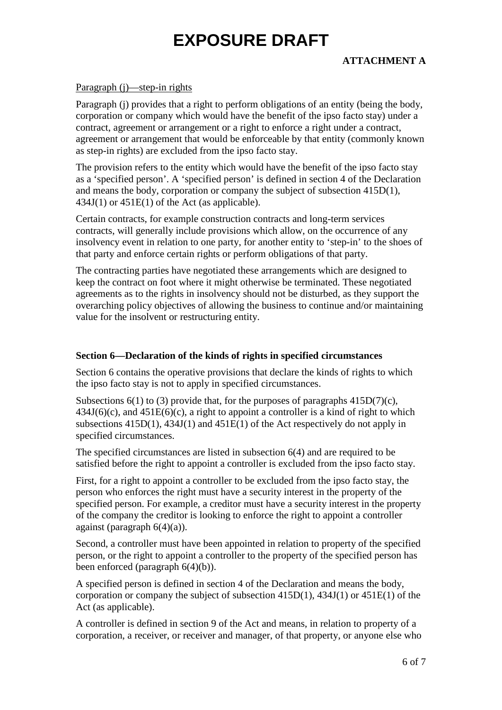### **ATTACHMENT A**

#### Paragraph (j)—step-in rights

Paragraph (j) provides that a right to perform obligations of an entity (being the body, corporation or company which would have the benefit of the ipso facto stay) under a contract, agreement or arrangement or a right to enforce a right under a contract, agreement or arrangement that would be enforceable by that entity (commonly known as step-in rights) are excluded from the ipso facto stay.

The provision refers to the entity which would have the benefit of the ipso facto stay as a 'specified person'. A 'specified person' is defined in section 4 of the Declaration and means the body, corporation or company the subject of subsection 415D(1),  $434J(1)$  or  $451E(1)$  of the Act (as applicable).

Certain contracts, for example construction contracts and long-term services contracts, will generally include provisions which allow, on the occurrence of any insolvency event in relation to one party, for another entity to 'step-in' to the shoes of that party and enforce certain rights or perform obligations of that party.

The contracting parties have negotiated these arrangements which are designed to keep the contract on foot where it might otherwise be terminated. These negotiated agreements as to the rights in insolvency should not be disturbed, as they support the overarching policy objectives of allowing the business to continue and/or maintaining value for the insolvent or restructuring entity.

#### **Section 6—Declaration of the kinds of rights in specified circumstances**

Section 6 contains the operative provisions that declare the kinds of rights to which the ipso facto stay is not to apply in specified circumstances.

Subsections  $6(1)$  to (3) provide that, for the purposes of paragraphs  $415D(7)(c)$ ,  $434J(6)(c)$ , and  $451E(6)(c)$ , a right to appoint a controller is a kind of right to which subsections 415D(1), 434J(1) and 451E(1) of the Act respectively do not apply in specified circumstances.

The specified circumstances are listed in subsection 6(4) and are required to be satisfied before the right to appoint a controller is excluded from the ipso facto stay.

First, for a right to appoint a controller to be excluded from the ipso facto stay, the person who enforces the right must have a security interest in the property of the specified person. For example, a creditor must have a security interest in the property of the company the creditor is looking to enforce the right to appoint a controller against (paragraph  $6(4)(a)$ ).

Second, a controller must have been appointed in relation to property of the specified person, or the right to appoint a controller to the property of the specified person has been enforced (paragraph 6(4)(b)).

A specified person is defined in section 4 of the Declaration and means the body, corporation or company the subject of subsection 415D(1), 434J(1) or 451E(1) of the Act (as applicable).

A controller is defined in section 9 of the Act and means, in relation to property of a corporation, a receiver, or receiver and manager, of that property, or anyone else who